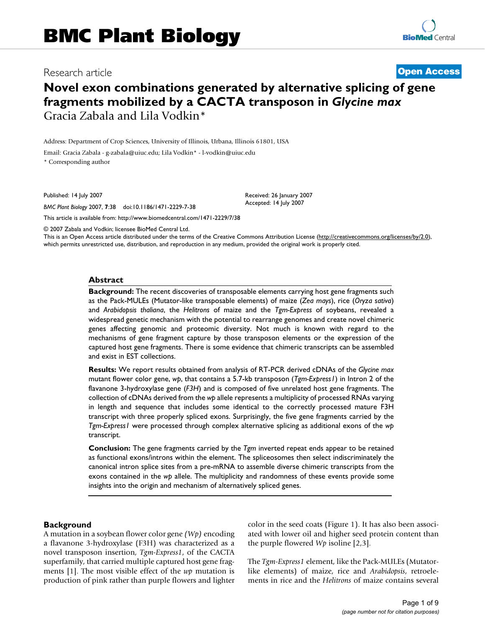# Research article **[Open Access](http://www.biomedcentral.com/info/about/charter/)**

# **Novel exon combinations generated by alternative splicing of gene fragments mobilized by a CACTA transposon in** *Glycine max* Gracia Zabala and Lila Vodkin\*

Address: Department of Crop Sciences, University of Illinois, Urbana, Illinois 61801, USA

Email: Gracia Zabala - g-zabala@uiuc.edu; Lila Vodkin\* - l-vodkin@uiuc.edu

\* Corresponding author

Published: 14 July 2007

*BMC Plant Biology* 2007, **7**:38 doi:10.1186/1471-2229-7-38

[This article is available from: http://www.biomedcentral.com/1471-2229/7/38](http://www.biomedcentral.com/1471-2229/7/38)

© 2007 Zabala and Vodkin; licensee BioMed Central Ltd.

This is an Open Access article distributed under the terms of the Creative Commons Attribution License [\(http://creativecommons.org/licenses/by/2.0\)](http://creativecommons.org/licenses/by/2.0), which permits unrestricted use, distribution, and reproduction in any medium, provided the original work is properly cited.

Received: 26 January 2007 Accepted: 14 July 2007

#### **Abstract**

**Background:** The recent discoveries of transposable elements carrying host gene fragments such as the Pack-MULEs (Mutator-like transposable elements) of maize (*Zea mays*), rice (*Oryza sativa*) and *Arabidopsis thaliana*, the *Helitrons* of maize and the *Tgm-Express* of soybeans, revealed a widespread genetic mechanism with the potential to rearrange genomes and create novel chimeric genes affecting genomic and proteomic diversity. Not much is known with regard to the mechanisms of gene fragment capture by those transposon elements or the expression of the captured host gene fragments. There is some evidence that chimeric transcripts can be assembled and exist in EST collections.

**Results:** We report results obtained from analysis of RT-PCR derived cDNAs of the *Glycine max* mutant flower color gene, *wp*, that contains a 5.7-kb transposon (*Tgm-Express1*) in Intron 2 of the flavanone 3-hydroxylase gene (*F3H*) and is composed of five unrelated host gene fragments. The collection of cDNAs derived from the *wp* allele represents a multiplicity of processed RNAs varying in length and sequence that includes some identical to the correctly processed mature F3H transcript with three properly spliced exons. Surprisingly, the five gene fragments carried by the *Tgm-Express1* were processed through complex alternative splicing as additional exons of the *wp* transcript.

**Conclusion:** The gene fragments carried by the *Tgm* inverted repeat ends appear to be retained as functional exons/introns within the element. The spliceosomes then select indiscriminately the canonical intron splice sites from a pre-mRNA to assemble diverse chimeric transcripts from the exons contained in the *wp* allele. The multiplicity and randomness of these events provide some insights into the origin and mechanism of alternatively spliced genes.

#### **Background**

A mutation in a soybean flower color gene *(Wp)* encoding a flavanone 3-hydroxylase (F3H) was characterized as a novel transposon insertion, *Tgm-Express1*, of the CACTA superfamily, that carried multiple captured host gene fragments [1]. The most visible effect of the *wp* mutation is production of pink rather than purple flowers and lighter color in the seed coats (Figure 1). It has also been associated with lower oil and higher seed protein content than the purple flowered *Wp* isoline [2,3].

The *Tgm-Express1* element, like the Pack-MULEs (Mutatorlike elements) of maize, rice and *Arabidopsis*, retroelements in rice and the *Helitrons* of maize contains several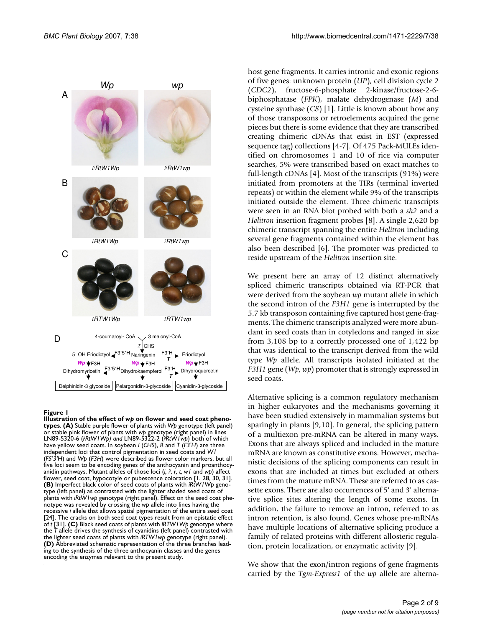

#### Illustration of the effect of **Figure 1** *wp* on flower and seed coat phenotypes

**Illustration of the effect of** *wp* **on flower and seed coat phenotypes**. **(A)** Stable purple flower of plants with *Wp* genotype (left panel) or stable pink flower of plants with *wp* genotype (right panel) in lines LN89-5320-6 (*i RtW1Wp) and* LN89-5322-2 (*i RtW1wp*) both of which *i i* have yellow seed coats. In soybean *I* (*CHS*), *R* and *T* (*F3'H*) are three independent loci that control pigmentation in seed coats and *W1*  (*F5'3'H*) and *Wp* (*F3H*) were described as flower color markers, but all five loci seem to be encoding genes of the anthocyanin and proanthocyanidin pathways. Mutant alleles of those loci (*i, ii* , *r, t, w1* and *wp*) affect flower, seed coat, hypocotyle or pubescence coloration [1, 28, 30, 31]. **(B)** Imperfect black color of seed coats of plants with *iRtW1Wp* genotype (left panel) as contrasted with the lighter shaded seed coats of plants with *iRtW1wp* genotype (right panel). Effect on the seed coat phenotype was revealed by crossing the *wp* allele into lines having the recessive *i* allele that allows spatial pigmentation of the entire seed coat [24]. The cracks on both seed coat types result from an epistatic effect of *t* [31]. **(C)** Black seed coats of plants with *iRTW1Wp* genotype where the *T* allele drives the synthesis of cyanidins (left panel) contrasted with the lighter seed coats of plants with *iRTW1wp* genotype (right panel). **(D)** Abbreviated schematic representation of the three branches leading to the synthesis of the three anthocyanin classes and the genes encoding the enzymes relevant to the present study.

host gene fragments. It carries intronic and exonic regions of five genes: unknown protein (*UP*), cell division cycle 2 (*CDC2*), fructose-6-phosphate 2-kinase/fructose-2-6 biphosphatase (*FPK*), malate dehydrogenase (*M*) and cysteine synthase (*CS*) [1]. Little is known about how any of those transposons or retroelements acquired the gene pieces but there is some evidence that they are transcribed creating chimeric cDNAs that exist in EST (expressed sequence tag) collections [4-7]. Of 475 Pack-MULEs identified on chromosomes 1 and 10 of rice via computer searches, 5% were transcribed based on exact matches to full-length cDNAs [4]. Most of the transcripts (91%) were initiated from promoters at the TIRs (terminal inverted repeats) or within the element while 9% of the transcripts initiated outside the element. Three chimeric transcripts were seen in an RNA blot probed with both a *sh2* and a *Helitron* insertion fragment probes [8]. A single 2,620 bp chimeric transcript spanning the entire *Helitron* including several gene fragments contained within the element has also been described [6]. The promoter was predicted to reside upstream of the *Helitron* insertion site.

We present here an array of 12 distinct alternatively spliced chimeric transcripts obtained via RT-PCR that were derived from the soybean *wp* mutant allele in which the second intron of the *F3H1* gene is interrupted by the 5.7 kb transposon containing five captured host gene-fragments. The chimeric transcripts analyzed were more abundant in seed coats than in cotyledons and ranged in size from 3,108 bp to a correctly processed one of 1,422 bp that was identical to the transcript derived from the wild type *Wp* allele. All transcripts isolated initiated at the *F3H1* gene (*Wp*, *wp*) promoter that is strongly expressed in seed coats.

Alternative splicing is a common regulatory mechanism in higher eukaryotes and the mechanisms governing it have been studied extensively in mammalian systems but sparingly in plants [9,10]. In general, the splicing pattern of a multiexon pre-mRNA can be altered in many ways. Exons that are always spliced and included in the mature mRNA are known as constitutive exons. However, mechanistic decisions of the splicing components can result in exons that are included at times but excluded at others times from the mature mRNA. These are referred to as cassette exons. There are also occurrences of 5' and 3' alternative splice sites altering the length of some exons. In addition, the failure to remove an intron, referred to as intron retention, is also found. Genes whose pre-mRNAs have multiple locations of alternative splicing produce a family of related proteins with different allosteric regulation, protein localization, or enzymatic activity [9].

We show that the exon/intron regions of gene fragments carried by the *Tgm-Express1* of the *wp* allele are alterna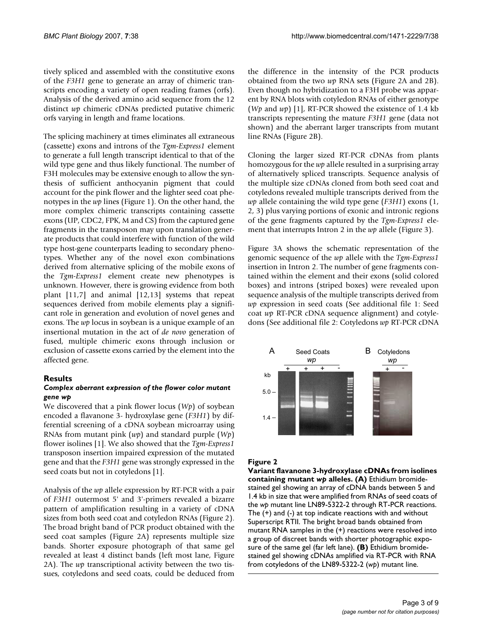tively spliced and assembled with the constitutive exons of the *F3H1* gene to generate an array of chimeric transcripts encoding a variety of open reading frames (orfs). Analysis of the derived amino acid sequence from the 12 distinct *wp* chimeric cDNAs predicted putative chimeric orfs varying in length and frame locations.

The splicing machinery at times eliminates all extraneous (cassette) exons and introns of the *Tgm-Express1* element to generate a full length transcript identical to that of the wild type gene and thus likely functional. The number of F3H molecules may be extensive enough to allow the synthesis of sufficient anthocyanin pigment that could account for the pink flower and the lighter seed coat phenotypes in the *wp* lines (Figure 1). On the other hand, the more complex chimeric transcripts containing cassette exons (UP, CDC2, FPK, M and CS) from the captured gene fragments in the transposon may upon translation generate products that could interfere with function of the wild type host-gene counterparts leading to secondary phenotypes. Whether any of the novel exon combinations derived from alternative splicing of the mobile exons of the *Tgm-Express1* element create new phenotypes is unknown. However, there is growing evidence from both plant [11,7] and animal [12,13] systems that repeat sequences derived from mobile elements play a significant role in generation and evolution of novel genes and exons. The *wp* locus in soybean is a unique example of an insertional mutation in the act of *de novo* generation of fused, multiple chimeric exons through inclusion or exclusion of cassette exons carried by the element into the affected gene.

# **Results**

#### *Complex aberrant expression of the flower color mutant gene wp*

We discovered that a pink flower locus (*Wp*) of soybean encoded a flavanone 3- hydroxylase gene (*F3H1*) by differential screening of a cDNA soybean microarray using RNAs from mutant pink (*wp*) and standard purple (*Wp*) flower isolines [1]. We also showed that the *Tgm-Express1* transposon insertion impaired expression of the mutated gene and that the *F3H1* gene was strongly expressed in the seed coats but not in cotyledons [1].

Analysis of the *wp* allele expression by RT-PCR with a pair of *F3H1* outermost 5' and 3'-primers revealed a bizarre pattern of amplification resulting in a variety of cDNA sizes from both seed coat and cotyledon RNAs (Figure 2). The broad bright band of PCR product obtained with the seed coat samples (Figure 2A) represents multiple size bands. Shorter exposure photograph of that same gel revealed at least 4 distinct bands (left most lane, Figure 2A). The *wp* transcriptional activity between the two tissues, cotyledons and seed coats, could be deduced from

the difference in the intensity of the PCR products obtained from the two *wp* RNA sets (Figure 2A and 2B). Even though no hybridization to a F3H probe was apparent by RNA blots with cotyledon RNAs of either genotype (*Wp* and *wp*) [1], RT-PCR showed the existence of 1.4 kb transcripts representing the mature *F3H1* gene (data not shown) and the aberrant larger transcripts from mutant line RNAs (Figure 2B).

Cloning the larger sized RT-PCR cDNAs from plants homozygous for the *wp* allele resulted in a surprising array of alternatively spliced transcripts. Sequence analysis of the multiple size cDNAs cloned from both seed coat and cotyledons revealed multiple transcripts derived from the *wp* allele containing the wild type gene (*F3H1*) exons (1, 2, 3) plus varying portions of exonic and intronic regions of the gene fragments captured by the *Tgm-Express1* element that interrupts Intron 2 in the *wp* allele (Figure 3).

Figure 3A shows the schematic representation of the genomic sequence of the *wp* allele with the *Tgm-Express1* insertion in Intron 2. The number of gene fragments contained within the element and their exons (solid colored boxes) and introns (striped boxes) were revealed upon sequence analysis of the multiple transcripts derived from *wp* expression in seed coats (See additional file 1: Seed coat *wp* RT-PCR cDNA sequence alignment) and cotyledons (See additional file 2: Cotyledons *wp* RT-PCR cDNA



# Figure 2

**Variant flavanone 3-hydroxylase cDNAs from isolines containing mutant** *wp* **alleles. (A)** Ethidium bromidestained gel showing an array of cDNA bands between 5 and 1.4 kb in size that were amplified from RNAs of seed coats of the *wp* mutant line LN89-5322-2 through RT-PCR reactions. The (+) and (-) at top indicate reactions with and without Superscript RTII. The bright broad bands obtained from mutant RNA samples in the (+) reactions were resolved into a group of discreet bands with shorter photographic exposure of the same gel (far left lane). **(B)** Ethidium bromidestained gel showing cDNAs amplified via RT-PCR with RNA from cotyledons of the LN89-5322-2 (*wp*) mutant line.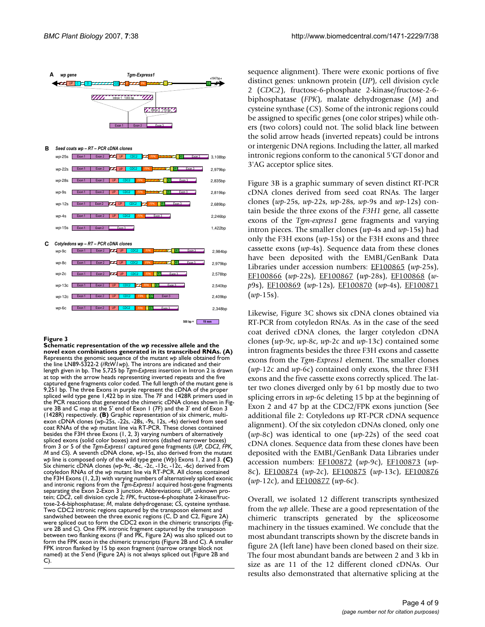

**F**igure 3<br>Schematic representation of the *wp* recessive allele and the **novel exon combinations generated in its transcribed RNAs. (A)**  Represents the genomic sequence of the mutant *wp* allele obtained from the line LN89-5322-2 (*i RtW1wp*). The introns are indicated and their *i* length given in bp. The 5,725 bp *Tgm-Express* insertion in Intron 2 is drawn at top with the arrow heads representing inverted repeats and the five captured gene fragments color coded. The full length of the mutant gene is 9,251 bp. The three Exons in purple represent the cDNA of the proper spliced wild type gene 1,422 bp in size. The 7F and 1428R primers used in the PCR reactions that generated the chimeric cDNA clones shown in Figure 3B and C map at the 5' end of Exon 1 (7F) and the 3' end of Exon 3 (1428R) respectively. **(B)** Graphic representation of six chimeric, multiexon cDNA clones (*wp*-25s, -22s, -28s, -9s, 12s, -4s) derived from seed coat RNAs of the *wp* mutant line via RT-PCR. These clones contained besides the F3H three Exons (1, 2, 3) varying numbers of alternatively spliced exons (solid color boxes) and introns (dashed narrower boxes) from 3 or 5 of the *Tgm-Express1* captured gene fragments (*UP, CDC2, FPK, M* and *CS*). A seventh cDNA clone, *wp*-15s, also derived from the mutant *wp* line is composed only of the wild type gene (*Wp*) Exons 1, 2 and 3. **(C)**  Six chimeric cDNA clones (*wp*-9c, -8c, -2c, -13c, -12c, -6c) derived from cotyledon RNAs of the *wp* mutant line via RT-PCR. All clones contained the F3H Exons (1, 2,3) with varying numbers of alternatively spliced exonic and intronic regions from the *Tgm-Express1* acquired host-gene fragments separating the Exon 2-Exon 3 junction. Abbreviations: *UP*, unknown protein; *CDC2*, cell division cycle 2; *FPK*, fructose-6-phosphate 2-kinase/fructose-2-6-biphosphatase; *M*, malate dehydrogenase; *CS*, cysteine synthase. Two CDC2 intronic regions captured by the transposon element and sandwished between the three exonic regions (C, D and C2, Figure 2A) were spliced out to form the CDC2 exon in the chimeric transcripts (Figure 2B and C). One FPK intronic fragment captured by the transposon between two flanking exons (F and PK, Figure 2A) was also spliced out to form the FPK exon in the chimeric transcripts (Figure 2B and C). A smaller FPK intron flanked by 15 bp exon fragment (narrow orange block not named) at the 5'end (Figure 2A) is not always spliced out (Figure 2B and  $\mathsf{C}$ 

sequence alignment). There were exonic portions of five distinct genes: unknown protein (*UP*), cell division cycle 2 (*CDC2*), fructose-6-phosphate 2-kinase/fructose-2-6 biphosphatase (*FPK*), malate dehydrogenase (*M*) and cysteine synthase (*CS*). Some of the intronic regions could be assigned to specific genes (one color stripes) while others (two colors) could not. The solid black line between the solid arrow heads (inverted repeats) could be introns or intergenic DNA regions. Including the latter, all marked intronic regions conform to the canonical 5'GT donor and 3'AG acceptor splice sites.

Figure 3B is a graphic summary of seven distinct RT-PCR cDNA clones derived from seed coat RNAs. The larger clones (*wp*-25s, *wp*-22s, *wp*-28s, *wp*-9s and *wp*-12s) contain beside the three exons of the *F3H1* gene, all cassette exons of the *Tgm-express1* gene fragments and varying intron pieces. The smaller clones (*wp*-4s and *wp*-15s) had only the F3H exons (*wp*-15s) or the F3H exons and three cassette exons (*wp*-4s). Sequence data from these clones have been deposited with the EMBL/GenBank Data Libraries under accession numbers: [EF100865](http://www.ncbi.nih.gov/entrez/query.fcgi?db=Nucleotide&cmd=search&term=EF100865) (*wp-*25s), [EF100866](http://www.ncbi.nih.gov/entrez/query.fcgi?db=Nucleotide&cmd=search&term=EF100866) (*wp-*22s), [EF100867](http://www.ncbi.nih.gov/entrez/query.fcgi?db=Nucleotide&cmd=search&term=EF100867) (*wp-*28s), [EF100868](http://www.ncbi.nih.gov/entrez/query.fcgi?db=Nucleotide&cmd=search&term=EF100868) (*wp*9s), [EF100869](http://www.ncbi.nih.gov/entrez/query.fcgi?db=Nucleotide&cmd=search&term=EF100869) (*wp-*12s), [EF100870](http://www.ncbi.nih.gov/entrez/query.fcgi?db=Nucleotide&cmd=search&term=EF100870) (*wp-*4s), [EF100871](http://www.ncbi.nih.gov/entrez/query.fcgi?db=Nucleotide&cmd=search&term=EF100871) (*wp*-15s).

Likewise, Figure 3C shows six cDNA clones obtained via RT-PCR from cotyledon RNAs. As in the case of the seed coat derived cDNA clones, the larger cotyledon cDNA clones (*wp*-9c, *wp*-8c, *wp*-2c and *wp*-13c) contained some intron fragments besides the three F3H exons and cassette exons from the *Tgm-Express1* element. The smaller clones (*wp*-12c and *wp*-6c) contained only exons, the three F3H exons and the five cassette exons correctly spliced. The latter two clones diverged only by 61 bp mostly due to two splicing errors in *wp-*6c deleting 15 bp at the beginning of Exon 2 and 47 bp at the CDC2/FPK exons junction (See additional file 2: Cotyledons *wp* RT-PCR cDNA sequence alignment). Of the six cotyledon cDNAs cloned, only one (*wp*-8c) was identical to one (*wp*-22s) of the seed coat cDNA clones. Sequence data from these clones have been deposited with the EMBL/GenBank Data Libraries under accession numbers: [EF100872](http://www.ncbi.nih.gov/entrez/query.fcgi?db=Nucleotide&cmd=search&term=EF100872) (*wp*-9c), [EF100873](http://www.ncbi.nih.gov/entrez/query.fcgi?db=Nucleotide&cmd=search&term=EF100873) (*wp*-8c), [EF100874](http://www.ncbi.nih.gov/entrez/query.fcgi?db=Nucleotide&cmd=search&term=EF100874) (*wp*-2c), [EF100875](http://www.ncbi.nih.gov/entrez/query.fcgi?db=Nucleotide&cmd=search&term=EF100875) (*wp*-13c), [EF100876](http://www.ncbi.nih.gov/entrez/query.fcgi?db=Nucleotide&cmd=search&term=EF100876) (*wp*-12c), and [EF100877](http://www.ncbi.nih.gov/entrez/query.fcgi?db=Nucleotide&cmd=search&term=EF100877) (*wp*-6c).

Overall, we isolated 12 different transcripts synthesized from the *wp* allele. These are a good representation of the chimeric transcripts generated by the spliceosome machinery in the tissues examined. We conclude that the most abundant transcripts shown by the discrete bands in figure 2A (left lane) have been cloned based on their size. The four most abundant bands are between 2 and 3 kb in size as are 11 of the 12 different cloned cDNAs. Our results also demonstrated that alternative splicing at the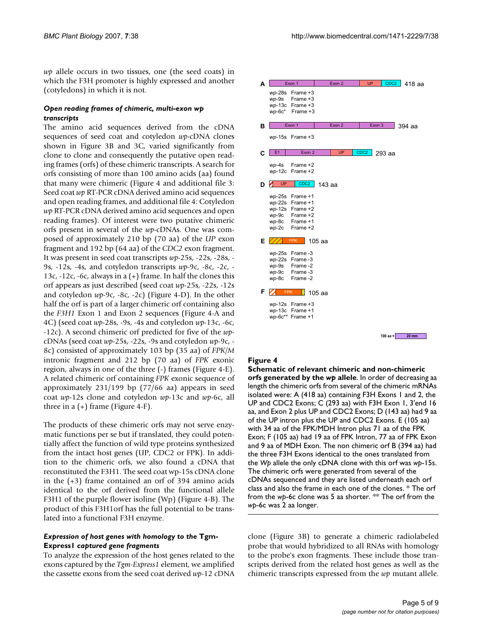*wp* allele occurs in two tissues, one (the seed coats) in which the F3H promoter is highly expressed and another (cotyledons) in which it is not.

#### *Open reading frames of chimeric, multi-exon wp transcripts*

The amino acid sequences derived from the cDNA sequences of seed coat and cotyledon *wp*-cDNA clones shown in Figure 3B and 3C, varied significantly from clone to clone and consequently the putative open reading frames (orfs) of these chimeric transcripts. A search for orfs consisting of more than 100 amino acids (aa) found that many were chimeric (Figure 4 and additional file 3: Seed coat *wp* RT-PCR cDNA derived amino acid sequences and open reading frames, and additional file 4: Cotyledon *wp* RT-PCR cDNA derived amino acid sequences and open reading frames). Of interest were two putative chimeric orfs present in several of the *wp*-cDNAs. One was composed of approximately 210 bp (70 aa) of the *UP* exon fragment and 192 bp (64 aa) of the *CDC2* exon fragment. It was present in seed coat transcripts *wp*-25s, -22s, -28s, - 9s, -12s, -4s, and cotyledon transcripts *wp*-9c, -8c, -2c, - 13c,  $-12c$ ,  $-6c$ , always in a  $(+)$  frame. In half the clones this orf appears as just described (seed coat *wp*-25s, -22s, -12s and cotyledon *wp*-9c, -8c, -2c) (Figure 4-D). In the other half the orf is part of a larger chimeric orf containing also the *F3H1* Exon 1 and Exon 2 sequences (Figure 4-A and 4C) (seed coat *wp*-28s, -9s, -4s and cotyledon *wp*-13c, -6c, -12c). A second chimeric orf predicted for five of the *wp*cDNAs (seed coat *wp*-25s, -22s, -9s and cotyledon *wp*-9c, - 8c) consisted of approximately 103 bp (35 aa) of *FPK/M* intronic fragment and 212 bp (70 aa) of *FPK* exonic region, always in one of the three (-) frames (Figure 4-E). A related chimeric orf containing *FPK* exonic sequence of approximately 231/199 bp (77/66 aa) appears in seed coat *wp*-12s clone and cotyledon *wp*-13c and *wp*-6c, all three in a  $(+)$  frame (Figure 4-F).

The products of these chimeric orfs may not serve enzymatic functions per se but if translated, they could potentially affect the function of wild type proteins synthesized from the intact host genes (UP, CDC2 or FPK). In addition to the chimeric orfs, we also found a cDNA that reconstituted the F3H1. The seed coat wp-15s cDNA clone in the (+3) frame contained an orf of 394 amino acids identical to the orf derived from the functional allele F3H1 of the purple flower isoline (Wp) (Figure 4-B). The product of this F3H1orf has the full potential to be translated into a functional F3H enzyme.

#### Expression of host genes with homology to the Tgm-**Express1** *captured gene fragments*

To analyze the expression of the host genes related to the exons captured by the *Tgm-Express1* element, we amplified the cassette exons from the seed coat derived *wp*-12 cDNA

| Δ | Exon 1                  |                                                                                               | Exon 2   |        |  | <b>UP</b>        | CDC <sub>2</sub> | 418 aa   |
|---|-------------------------|-----------------------------------------------------------------------------------------------|----------|--------|--|------------------|------------------|----------|
|   | $wp-28s$                | Frame +3<br>$wp-9s$ Frame +3<br>$wp-13c$ Frame +3<br>$wp-6c^*$ Frame +3                       |          |        |  |                  |                  |          |
| в | Exon 1                  |                                                                                               |          | Exon 2 |  |                  | Exon 3           | $394$ aa |
|   |                         | $wp-15s$ Frame +3                                                                             |          |        |  |                  |                  |          |
| С | E <sub>1</sub>          | Exon 2                                                                                        |          | UP     |  | CDC <sub>2</sub> | 293 aa           |          |
|   |                         | $wp-4s$ Frame +2<br>$wp-12c$ Frame +2                                                         |          |        |  |                  |                  |          |
| D | UP                      | CDC <sub>2</sub>                                                                              | 143 aa   |        |  |                  |                  |          |
|   | wp-9c<br>wp-8c<br>wp-2c | wp-25s Frame +1<br>$wp-22s$ Frame +1<br>$wp-12s$ Frame +2<br>Frame +2<br>Frame +1<br>Frame +2 |          |        |  |                  |                  |          |
| Е |                         | <b>FPK</b>                                                                                    | 105 aa   |        |  |                  |                  |          |
|   | wp-9c<br>$wp-8c$        | wp-25s Frame-3<br>wp-22s Frame-3<br>wp-9s Frame-2<br>Frame-3<br>Frame-2                       |          |        |  |                  |                  |          |
| F | <b>FPK</b>              |                                                                                               | $105$ aa |        |  |                  |                  |          |
|   |                         | wp-12s Frame +3<br>wp-13c Frame +1<br>wp-6c** Frame +1                                        |          |        |  |                  |                  |          |
|   |                         |                                                                                               |          |        |  |                  | 100 aa $=$       | $20$ mm  |

# **Figure 4**

**Schematic of relevant chimeric and non-chimeric orfs generated by the** *wp* **allele**. In order of decreasing aa length the chimeric orfs from several of the chimeric mRNAs isolated were: A (418 aa) containing F3H Exons 1 and 2, the UP and CDC2 Exons; C (293 aa) with F3H Exon 1, 3'end 16 aa, and Exon 2 plus UP and CDC2 Exons; D (143 aa) had 9 aa of the UP intron plus the UP and CDC2 Exons. E (105 aa) with 34 aa of the FPK/MDH Intron plus 71 aa of the FPK Exon; F (105 aa) had 19 aa of FPK Intron, 77 aa of FPK Exon and 9 aa of MDH Exon. The non chimeric orf B (394 aa) had the three F3H Exons identical to the ones translated from the *Wp* allele the only cDNA clone with this orf was *wp*-15s. The chimeric orfs were generated from several of the cDNAs sequenced and they are listed underneath each orf class and also the frame in each one of the clones. \* The orf from the *wp*-6c clone was 5 aa shorter. \*\* The orf from the *wp*-6c was 2 aa longer.

clone (Figure 3B) to generate a chimeric radiolabeled probe that would hybridized to all RNAs with homology to the probe's exon fragments. These include those transcripts derived from the related host genes as well as the chimeric transcripts expressed from the *wp* mutant allele.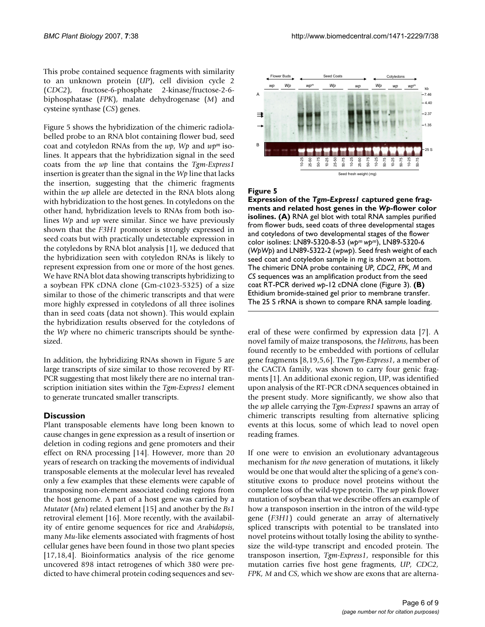This probe contained sequence fragments with similarity to an unknown protein (*UP*), cell division cycle 2 (*CDC2*), fructose-6-phosphate 2-kinase/fructose-2-6 biphosphatase (*FPK*), malate dehydrogenase (*M*) and cysteine synthase (*CS*) genes.

Figure 5 shows the hybridization of the chimeric radiolabelled probe to an RNA blot containing flower bud, seed coat and cotyledon RNAs from the *wp*, *Wp* and *wpm* isolines. It appears that the hybridization signal in the seed coats from the *wp* line that contains the *Tgm-Express1* insertion is greater than the signal in the *Wp* line that lacks the insertion, suggesting that the chimeric fragments within the *wp* allele are detected in the RNA blots along with hybridization to the host genes. In cotyledons on the other hand, hybridization levels to RNAs from both isolines *Wp* and *wp* were similar. Since we have previously shown that the *F3H1* promoter is strongly expressed in seed coats but with practically undetectable expression in the cotyledons by RNA blot analysis [1], we deduced that the hybridization seen with cotyledon RNAs is likely to represent expression from one or more of the host genes. We have RNA blot data showing transcripts hybridizing to a soybean FPK cDNA clone (Gm-c1023-5325) of a size similar to those of the chimeric transcripts and that were more highly expressed in cotyledons of all three isolines than in seed coats (data not shown). This would explain the hybridization results observed for the cotyledons of the *Wp* where no chimeric transcripts should be synthesized.

In addition, the hybridizing RNAs shown in Figure 5 are large transcripts of size similar to those recovered by RT-PCR suggesting that most likely there are no internal transcription initiation sites within the *Tgm-Express1* element to generate truncated smaller transcripts.

# **Discussion**

Plant transposable elements have long been known to cause changes in gene expression as a result of insertion or deletion in coding regions and gene promoters and their effect on RNA processing [14]. However, more than 20 years of research on tracking the movements of individual transposable elements at the molecular level has revealed only a few examples that these elements were capable of transposing non-element associated coding regions from the host genome. A part of a host gene was carried by a *Mutator* (*Mu*) related element [15] and another by the *Bs1* retroviral element [16]. More recently, with the availability of entire genome sequences for rice and *Arabidopsis*, many *Mu*-like elements associated with fragments of host cellular genes have been found in those two plant species [17,18,4]. Bioinformatics analysis of the rice genome uncovered 898 intact retrogenes of which 380 were predicted to have chimeral protein coding sequences and sev-



#### Figure 5

**Expression of the** *Tgm-Express1* **captured gene fragments and related host genes in the** *Wp***-flower color isolines. (A)** RNA gel blot with total RNA samples purified from flower buds, seed coats of three developmental stages and cotyledons of two developmental stages of the flower color isolines: LN89-5320-8-53 (*wpm wpm*), LN89-5320-6 (*WpWp*) and LN89-5322-2 (*wpwp*). Seed fresh weight of each seed coat and cotyledon sample in mg is shown at bottom. The chimeric DNA probe containing *UP, CDC2, FPK, M* and *CS* sequences was an amplification product from the seed coat RT-PCR derived *wp*-12 cDNA clone (Figure 3). **(B)**  Ethidium bromide-stained gel prior to membrane transfer. The 25 S rRNA is shown to compare RNA sample loading.

eral of these were confirmed by expression data [7]. A novel family of maize transposons, the *Helitrons*, has been found recently to be embedded with portions of cellular gene fragments [8,19,5,6]. The *Tgm-Express1*, a member of the CACTA family, was shown to carry four genic fragments [1]. An additional exonic region, UP, was identified upon analysis of the RT-PCR cDNA sequences obtained in the present study. More significantly, we show also that the *wp* allele carrying the *Tgm-Express1* spawns an array of chimeric transcripts resulting from alternative splicing events at this locus, some of which lead to novel open reading frames.

If one were to envision an evolutionary advantageous mechanism for *the novo* generation of mutations, it likely would be one that would alter the splicing of a gene's constitutive exons to produce novel proteins without the complete loss of the wild-type protein. The *wp* pink flower mutation of soybean that we describe offers an example of how a transposon insertion in the intron of the wild-type gene (*F3H1*) could generate an array of alternatively spliced transcripts with potential to be translated into novel proteins without totally losing the ability to synthesize the wild-type transcript and encoded protein. The transposon insertion, *Tgm-Express1*, responsible for this mutation carries five host gene fragments, *UP, CDC2, FPK, M* and *CS*, which we show are exons that are alterna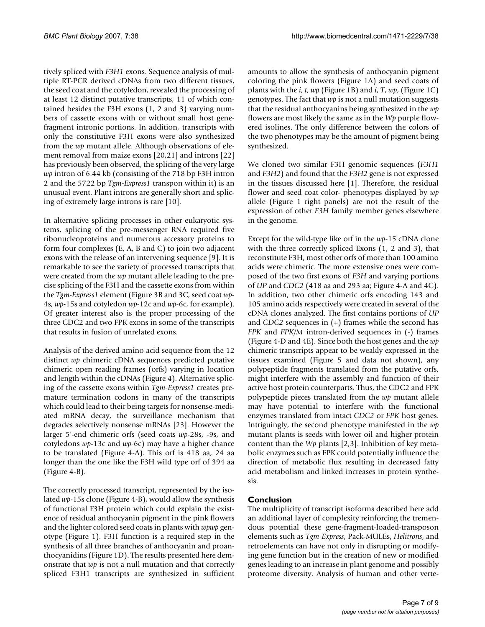tively spliced with *F3H1* exons. Sequence analysis of multiple RT-PCR derived cDNAs from two different tissues, the seed coat and the cotyledon, revealed the processing of at least 12 distinct putative transcripts, 11 of which contained besides the F3H exons (1, 2 and 3) varying numbers of cassette exons with or without small host genefragment intronic portions. In addition, transcripts with only the constitutive F3H exons were also synthesized from the *wp* mutant allele. Although observations of element removal from maize exons [20,21] and introns [22] has previously been observed, the splicing of the very large *wp* intron of 6.44 kb (consisting of the 718 bp F3H intron 2 and the 5722 bp *Tgm-Express1* transpon within it) is an unusual event. Plant introns are generally short and splicing of extremely large introns is rare [10].

In alternative splicing processes in other eukaryotic systems, splicing of the pre-messenger RNA required five ribonucleoproteins and numerous accessory proteins to form four complexes (E, A, B and C) to join two adjacent exons with the release of an intervening sequence [9]. It is remarkable to see the variety of processed transcripts that were created from the *wp* mutant allele leading to the precise splicing of the F3H and the cassette exons from within the *Tgm-Express1* element (Figure 3B and 3C, seed coat *wp-*4s, *wp-*15s and cotyledon *wp*-12c and *wp*-6c, for example). Of greater interest also is the proper processing of the three CDC2 and two FPK exons in some of the transcripts that results in fusion of unrelated exons.

Analysis of the derived amino acid sequence from the 12 distinct *wp* chimeric cDNA sequences predicted putative chimeric open reading frames (orfs) varying in location and length within the cDNAs (Figure 4). Alternative splicing of the cassette exons within *Tgm-Express1* creates premature termination codons in many of the transcripts which could lead to their being targets for nonsense-mediated mRNA decay, the surveillance mechanism that degrades selectively nonsense mRNAs [23]. However the larger 5'-end chimeric orfs (seed coats *wp*-28s, -9s, and cotyledons *wp*-13c and *wp-*6c) may have a higher chance to be translated (Figure 4-A). This orf is 418 aa, 24 aa longer than the one like the F3H wild type orf of 394 aa (Figure 4-B).

The correctly processed transcript, represented by the isolated *wp*-15s clone (Figure 4-B), would allow the synthesis of functional F3H protein which could explain the existence of residual anthocyanin pigment in the pink flowers and the lighter colored seed coats in plants with *wpwp* genotype (Figure 1). F3H function is a required step in the synthesis of all three branches of anthocyanin and proanthocyanidins (Figure 1D). The results presented here demonstrate that *wp* is not a null mutation and that correctly spliced F3H1 transcripts are synthesized in sufficient

amounts to allow the synthesis of anthocyanin pigment coloring the pink flowers (Figure 1A) and seed coats of plants with the *i*, *t*, *wp* (Figure 1B) and *i*, *T*, *wp*, (Figure 1C) genotypes. The fact that *wp* is not a null mutation suggests that the residual anthocyanins being synthesized in the *wp* flowers are most likely the same as in the *Wp* purple flowered isolines. The only difference between the colors of the two phenotypes may be the amount of pigment being synthesized.

We cloned two similar F3H genomic sequences (*F3H1* and *F3H2*) and found that the *F3H2* gene is not expressed in the tissues discussed here [1]. Therefore, the residual flower and seed coat color- phenotypes displayed by *wp* allele (Figure 1 right panels) are not the result of the expression of other *F3H* family member genes elsewhere in the genome.

Except for the wild-type like orf in the *wp*-15 cDNA clone with the three correctly spliced Exons (1, 2 and 3), that reconstitute F3H, most other orfs of more than 100 amino acids were chimeric. The more extensive ones were composed of the two first exons of *F3H* and varying portions of *UP* and *CDC2* (418 aa and 293 aa; Figure 4-A and 4C). In addition, two other chimeric orfs encoding 143 and 105 amino acids respectively were created in several of the cDNA clones analyzed. The first contains portions of *UP* and *CDC2* sequences in (+) frames while the second has *FPK* and *FPK/M* intron-derived sequences in (-) frames (Figure 4-D and 4E). Since both the host genes and the *wp* chimeric transcripts appear to be weakly expressed in the tissues examined (Figure 5 and data not shown), any polypeptide fragments translated from the putative orfs, might interfere with the assembly and function of their active host protein counterparts. Thus, the CDC2 and FPK polypeptide pieces translated from the *wp* mutant allele may have potential to interfere with the functional enzymes translated from intact *CDC2* or *FPK* host genes. Intriguingly, the second phenotype manifested in the *wp* mutant plants is seeds with lower oil and higher protein content than the *Wp* plants [2,3]. Inhibition of key metabolic enzymes such as FPK could potentially influence the direction of metabolic flux resulting in decreased fatty acid metabolism and linked increases in protein synthesis.

# **Conclusion**

The multiplicity of transcript isoforms described here add an additional layer of complexity reinforcing the tremendous potential these gene-fragment-loaded-transposon elements such as *Tgm-Express*, Pack-MULEs, *Helitrons*, and retroelements can have not only in disrupting or modifying gene function but in the creation of new or modified genes leading to an increase in plant genome and possibly proteome diversity. Analysis of human and other verte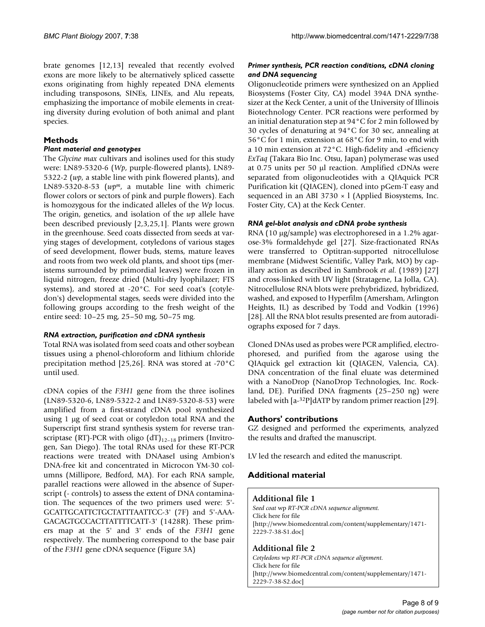brate genomes [12,13] revealed that recently evolved exons are more likely to be alternatively spliced cassette exons originating from highly repeated DNA elements including transposons, SINEs, LINEs, and Alu repeats, emphasizing the importance of mobile elements in creating diversity during evolution of both animal and plant species.

# **Methods**

# *Plant material and genotypes*

The *Glycine max* cultivars and isolines used for this study were: LN89-5320-6 (*Wp*, purple-flowered plants), LN89- 5322-2 (*wp*, a stable line with pink flowered plants), and LN89-5320-8-53 (*wpm*, a mutable line with chimeric flower colors or sectors of pink and purple flowers). Each is homozygous for the indicated alleles of the *Wp* locus. The origin, genetics, and isolation of the *wp* allele have been described previously [2,3,25,1]. Plants were grown in the greenhouse. Seed coats dissected from seeds at varying stages of development, cotyledons of various stages of seed development, flower buds, stems, mature leaves and roots from two week old plants, and shoot tips (meristems surrounded by primordial leaves) were frozen in liquid nitrogen, freeze dried (Multi-dry lyophilazer; FTS systems), and stored at -20°C. For seed coat's (cotyledon's) developmental stages, seeds were divided into the following groups according to the fresh weight of the entire seed: 10–25 mg, 25–50 mg, 50–75 mg.

# *RNA extraction, purification and cDNA synthesis*

Total RNA was isolated from seed coats and other soybean tissues using a phenol-chloroform and lithium chloride precipitation method [25,26]. RNA was stored at -70°C until used.

cDNA copies of the *F3H1* gene from the three isolines (LN89-5320-6, LN89-5322-2 and LN89-5320-8-53) were amplified from a first-strand cDNA pool synthesized using 1 µg of seed coat or cotyledon total RNA and the Superscript first strand synthesis system for reverse transcriptase (RT)-PCR with oligo  $(dT)_{12-18}$  primers (Invitrogen, San Diego). The total RNAs used for these RT-PCR reactions were treated with DNAaseI using Ambion's DNA-free kit and concentrated in Microcon YM-30 columns (Millipore, Bedford, MA). For each RNA sample, parallel reactions were allowed in the absence of Superscript (- controls) to assess the extent of DNA contamination. The sequences of the two primers used were: 5'- GCATTGCATTCTGCTATTTAATTCC-3' (7F) and 5'-AAA-GACAGTGCCACTTATTTTCATT-3' (1428R). These primers map at the 5' and 3' ends of the *F3H1* gene respectively. The numbering correspond to the base pair of the *F3H1* gene cDNA sequence (Figure 3A)

# *Primer synthesis, PCR reaction conditions, cDNA cloning and DNA sequencing*

Oligonucleotide primers were synthesized on an Applied Biosystems (Foster City, CA) model 394A DNA synthesizer at the Keck Center, a unit of the University of Illinois Biotechnology Center. PCR reactions were performed by an initial denaturation step at 94°C for 2 min followed by 30 cycles of denaturing at 94°C for 30 sec, annealing at 56°C for 1 min, extension at 68°C for 9 min, to end with a 10 min extension at 72°C. High-fidelity and -efficiency *ExTaq* (Takara Bio Inc. Otsu, Japan) polymerase was used at 0.75 units per 50 µl reaction. Amplified cDNAs were separated from oligonucleotides with a QIAquick PCR Purification kit (QIAGEN), cloned into pGem-T easy and sequenced in an ABI 3730  $\times$  l (Applied Biosystems, Inc. Foster City, CA) at the Keck Center.

# *RNA gel-blot analysis and cDNA probe synthesis*

RNA (10 µg/sample) was electrophoresed in a 1.2% agarose-3% formaldehyde gel [27]. Size-fractionated RNAs were transferred to Optitran-supported nitrocellulose membrane (Midwest Scientific, Valley Park, MO) by capillary action as described in Sambrook *et al*. (1989) [27] and cross-linked with UV light (Stratagene, La Jolla, CA). Nitrocellulose RNA blots were prehybridized, hybridized, washed, and exposed to Hyperfilm (Amersham, Arlington Heights, IL) as described by Todd and Vodkin (1996) [28]. All the RNA blot results presented are from autoradiographs exposed for 7 days.

Cloned DNAs used as probes were PCR amplified, electrophoresed, and purified from the agarose using the QIAquick gel extraction kit (QIAGEN, Valencia, CA). DNA concentration of the final eluate was determined with a NanoDrop (NanoDrop Technologies, Inc. Rockland, DE). Purified DNA fragments (25–250 ng) were labeled with [a-32P]dATP by random primer reaction [29].

# **Authors' contributions**

GZ designed and performed the experiments, analyzed the results and drafted the manuscript.

LV led the research and edited the manuscript.

# **Additional material**

# **Additional file 1**

*Seed coat* wp *RT-PCR cDNA sequence alignment.* Click here for file [\[http://www.biomedcentral.com/content/supplementary/1471-](http://www.biomedcentral.com/content/supplementary/1471-2229-7-38-S1.doc) 2229-7-38-S1.doc]

# **Additional file 2**

*Cotyledons* wp *RT-PCR cDNA sequence alignment.* Click here for file [\[http://www.biomedcentral.com/content/supplementary/1471-](http://www.biomedcentral.com/content/supplementary/1471-2229-7-38-S2.doc) 2229-7-38-S2.doc]